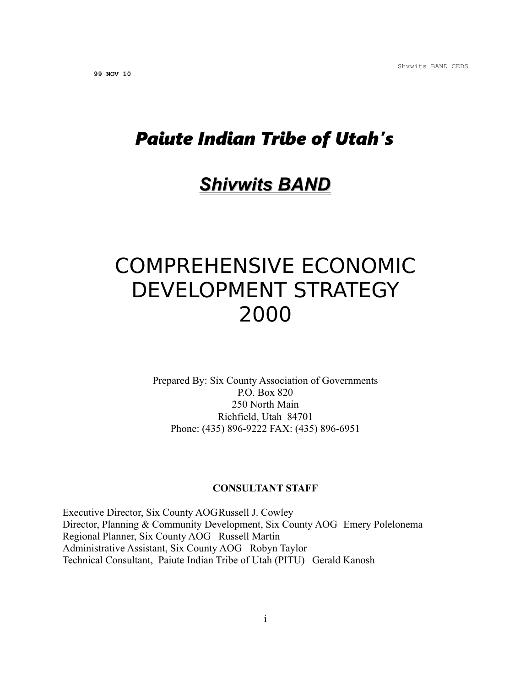## *Paiute Indian Tribe of Utah's*

# *Shivwits BAND*

# COMPREHENSIVE ECONOMIC DEVELOPMENT STRATEGY 2000

Prepared By: Six County Association of Governments P.O. Box 820 250 North Main Richfield, Utah 84701 Phone: (435) 896-9222 FAX: (435) 896-6951

#### **CONSULTANT STAFF**

Executive Director, Six County AOGRussell J. Cowley Director, Planning & Community Development, Six County AOG Emery Polelonema Regional Planner, Six County AOG Russell Martin Administrative Assistant, Six County AOG Robyn Taylor Technical Consultant, Paiute Indian Tribe of Utah (PITU) Gerald Kanosh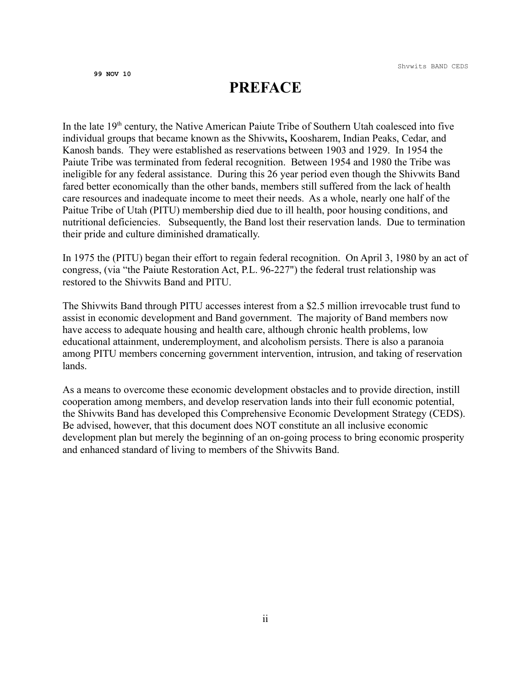## **PREFACE**

In the late  $19<sup>th</sup>$  century, the Native American Paiute Tribe of Southern Utah coalesced into five individual groups that became known as the Shivwits**,** Koosharem, Indian Peaks, Cedar, and Kanosh bands. They were established as reservations between 1903 and 1929. In 1954 the Paiute Tribe was terminated from federal recognition. Between 1954 and 1980 the Tribe was ineligible for any federal assistance. During this 26 year period even though the Shivwits Band fared better economically than the other bands, members still suffered from the lack of health care resources and inadequate income to meet their needs. As a whole, nearly one half of the Paitue Tribe of Utah (PITU) membership died due to ill health, poor housing conditions, and nutritional deficiencies. Subsequently, the Band lost their reservation lands. Due to termination their pride and culture diminished dramatically.

In 1975 the (PITU) began their effort to regain federal recognition. On April 3, 1980 by an act of congress, (via "the Paiute Restoration Act, P.L. 96-227") the federal trust relationship was restored to the Shivwits Band and PITU.

The Shivwits Band through PITU accesses interest from a \$2.5 million irrevocable trust fund to assist in economic development and Band government. The majority of Band members now have access to adequate housing and health care, although chronic health problems, low educational attainment, underemployment, and alcoholism persists. There is also a paranoia among PITU members concerning government intervention, intrusion, and taking of reservation lands.

As a means to overcome these economic development obstacles and to provide direction, instill cooperation among members, and develop reservation lands into their full economic potential, the Shivwits Band has developed this Comprehensive Economic Development Strategy (CEDS). Be advised, however, that this document does NOT constitute an all inclusive economic development plan but merely the beginning of an on-going process to bring economic prosperity and enhanced standard of living to members of the Shivwits Band.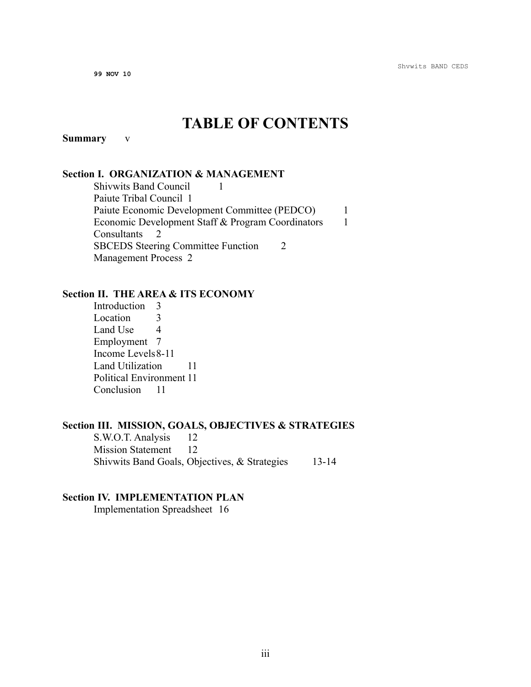## **TABLE OF CONTENTS**

#### **Summary** v

#### **Section I. ORGANIZATION & MANAGEMENT**

Shivwits Band Council 1 Paiute Tribal Council 1 Paiute Economic Development Committee (PEDCO) 1 Economic Development Staff & Program Coordinators 1 Consultants 2 SBCEDS Steering Committee Function 2 Management Process 2

#### **Section II. THE AREA & ITS ECONOMY**

Introduction 3 Location 3 Land Use 4 Employment 7 Income Levels8-11 Land Utilization 11 Political Environment 11 Conclusion 11

#### **Section III. MISSION, GOALS, OBJECTIVES & STRATEGIES**

S.W.O.T. Analysis 12 Mission Statement 12 Shivwits Band Goals, Objectives, & Strategies 13-14

#### **Section IV. IMPLEMENTATION PLAN**

Implementation Spreadsheet 16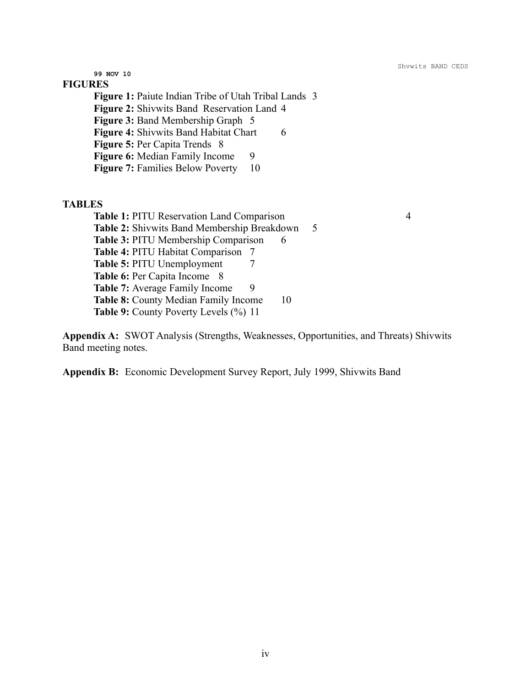#### **FIGURES**

**Figure 1:** Paiute Indian Tribe of Utah Tribal Lands 3 **Figure 2:** Shivwits Band Reservation Land 4 **Figure 3:** Band Membership Graph 5 **Figure 4:** Shivwits Band Habitat Chart 6 **Figure 5:** Per Capita Trends 8 **Figure 6:** Median Family Income 9 **Figure 7: Families Below Poverty** 10

#### **TABLES**

**Table 1:** PITU Reservation Land Comparison 4 **Table 2:** Shivwits Band Membership Breakdown 5 **Table 3: PITU Membership Comparison 6 Table 4:** PITU Habitat Comparison 7 **Table 5:** PITU Unemployment 7 **Table 6: Per Capita Income** 8 **Table 7:** Average Family Income 9 **Table 8:** County Median Family Income 10 **Table 9:** County Poverty Levels (%) 11

**Appendix A:** SWOT Analysis (Strengths, Weaknesses, Opportunities, and Threats) Shivwits Band meeting notes.

**Appendix B:** Economic Development Survey Report, July 1999, Shivwits Band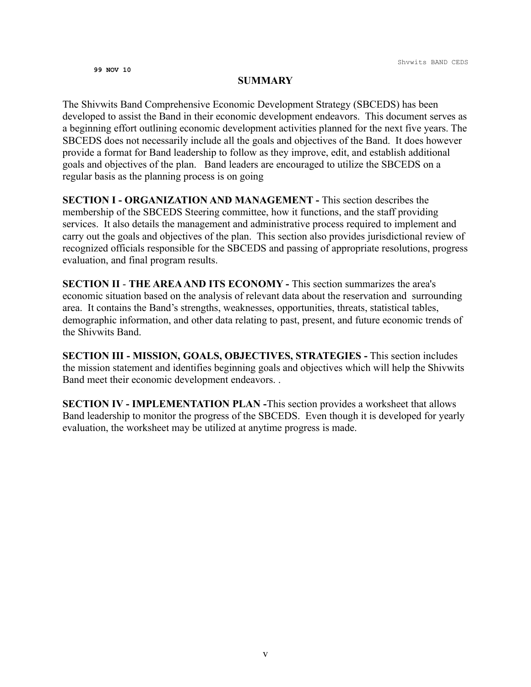#### **SUMMARY**

The Shivwits Band Comprehensive Economic Development Strategy (SBCEDS) has been developed to assist the Band in their economic development endeavors. This document serves as a beginning effort outlining economic development activities planned for the next five years. The SBCEDS does not necessarily include all the goals and objectives of the Band. It does however provide a format for Band leadership to follow as they improve, edit, and establish additional goals and objectives of the plan. Band leaders are encouraged to utilize the SBCEDS on a regular basis as the planning process is on going

**SECTION I - ORGANIZATION AND MANAGEMENT -** This section describes the membership of the SBCEDS Steering committee, how it functions, and the staff providing services. It also details the management and administrative process required to implement and carry out the goals and objectives of the plan. This section also provides jurisdictional review of recognized officials responsible for the SBCEDS and passing of appropriate resolutions, progress evaluation, and final program results.

**SECTION II** - **THE AREA AND ITS ECONOMY -** This section summarizes the area's economic situation based on the analysis of relevant data about the reservation and surrounding area. It contains the Band's strengths, weaknesses, opportunities, threats, statistical tables, demographic information, and other data relating to past, present, and future economic trends of the Shivwits Band.

**SECTION III - MISSION, GOALS, OBJECTIVES, STRATEGIES -** This section includes the mission statement and identifies beginning goals and objectives which will help the Shivwits Band meet their economic development endeavors. .

**SECTION IV - IMPLEMENTATION PLAN -**This section provides a worksheet that allows Band leadership to monitor the progress of the SBCEDS. Even though it is developed for yearly evaluation, the worksheet may be utilized at anytime progress is made.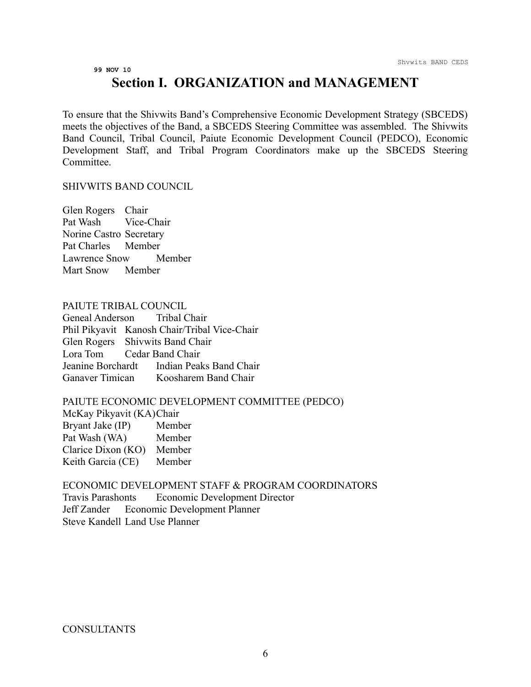## **Section I. ORGANIZATION and MANAGEMENT**

To ensure that the Shivwits Band's Comprehensive Economic Development Strategy (SBCEDS) meets the objectives of the Band, a SBCEDS Steering Committee was assembled. The Shivwits Band Council, Tribal Council, Paiute Economic Development Council (PEDCO), Economic Development Staff, and Tribal Program Coordinators make up the SBCEDS Steering Committee.

#### SHIVWITS BAND COUNCIL

Glen Rogers Chair Pat Wash Vice-Chair Norine Castro Secretary Pat Charles Member Lawrence Snow Member Mart Snow Member

#### PAIUTE TRIBAL COUNCIL

Geneal Anderson Tribal Chair Phil Pikyavit Kanosh Chair/Tribal Vice-Chair Glen Rogers Shivwits Band Chair Lora Tom Cedar Band Chair Jeanine Borchardt Indian Peaks Band Chair Ganaver Timican Koosharem Band Chair

#### PAIUTE ECONOMIC DEVELOPMENT COMMITTEE (PEDCO)

McKay Pikyavit (KA)Chair Bryant Jake (IP) Member Pat Wash (WA) Member Clarice Dixon (KO) Member Keith Garcia (CE) Member

ECONOMIC DEVELOPMENT STAFF & PROGRAM COORDINATORS Travis Parashonts Economic Development Director Jeff Zander Economic Development Planner Steve Kandell Land Use Planner

**CONSULTANTS**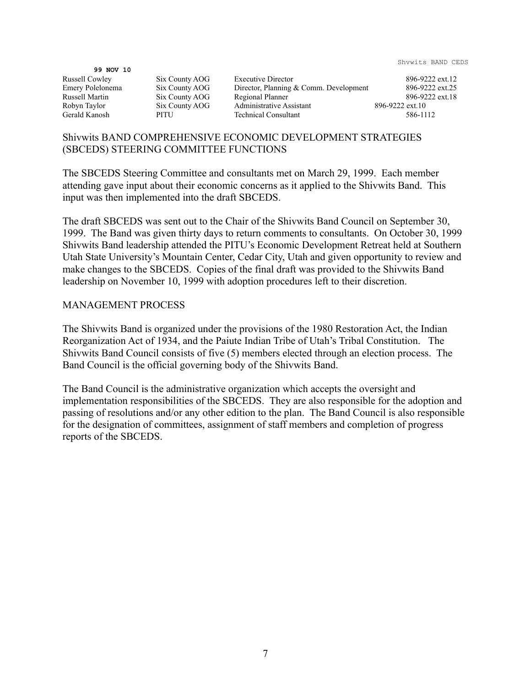99 NOV 10<br>Russell Cowley

Six County AOG Executive Director 896-9222 ext.12 Emery Polelonema Six County AOG Director, Planning & Comm. Development 896-9222 ext.25 Russell Martin Six County AOG Regional Planner 896-9222 ext.18 Robyn Taylor Six County AOG Administrative Assistant 896-9222 ext.10<br>Gerald Kanosh PITU Technical Consultant 586-11 PITU Technical Consultant 586-1112

#### Shivwits BAND COMPREHENSIVE ECONOMIC DEVELOPMENT STRATEGIES (SBCEDS) STEERING COMMITTEE FUNCTIONS

The SBCEDS Steering Committee and consultants met on March 29, 1999. Each member attending gave input about their economic concerns as it applied to the Shivwits Band. This input was then implemented into the draft SBCEDS.

The draft SBCEDS was sent out to the Chair of the Shivwits Band Council on September 30, 1999. The Band was given thirty days to return comments to consultants. On October 30, 1999 Shivwits Band leadership attended the PITU's Economic Development Retreat held at Southern Utah State University's Mountain Center, Cedar City, Utah and given opportunity to review and make changes to the SBCEDS. Copies of the final draft was provided to the Shivwits Band leadership on November 10, 1999 with adoption procedures left to their discretion.

#### MANAGEMENT PROCESS

The Shivwits Band is organized under the provisions of the 1980 Restoration Act, the Indian Reorganization Act of 1934, and the Paiute Indian Tribe of Utah's Tribal Constitution. The Shivwits Band Council consists of five (5) members elected through an election process. The Band Council is the official governing body of the Shivwits Band.

The Band Council is the administrative organization which accepts the oversight and implementation responsibilities of the SBCEDS. They are also responsible for the adoption and passing of resolutions and/or any other edition to the plan. The Band Council is also responsible for the designation of committees, assignment of staff members and completion of progress reports of the SBCEDS.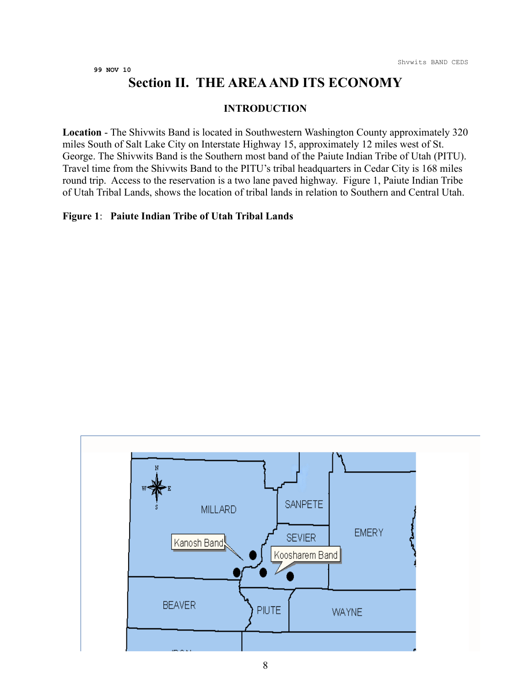## **Section II. THE AREA AND ITS ECONOMY**

#### **INTRODUCTION**

**Location** - The Shivwits Band is located in Southwestern Washington County approximately 320 miles South of Salt Lake City on Interstate Highway 15, approximately 12 miles west of St. George. The Shivwits Band is the Southern most band of the Paiute Indian Tribe of Utah (PITU). Travel time from the Shivwits Band to the PITU's tribal headquarters in Cedar City is 168 miles round trip. Access to the reservation is a two lane paved highway. Figure 1, Paiute Indian Tribe of Utah Tribal Lands, shows the location of tribal lands in relation to Southern and Central Utah.

#### **Figure 1**: **Paiute Indian Tribe of Utah Tribal Lands**

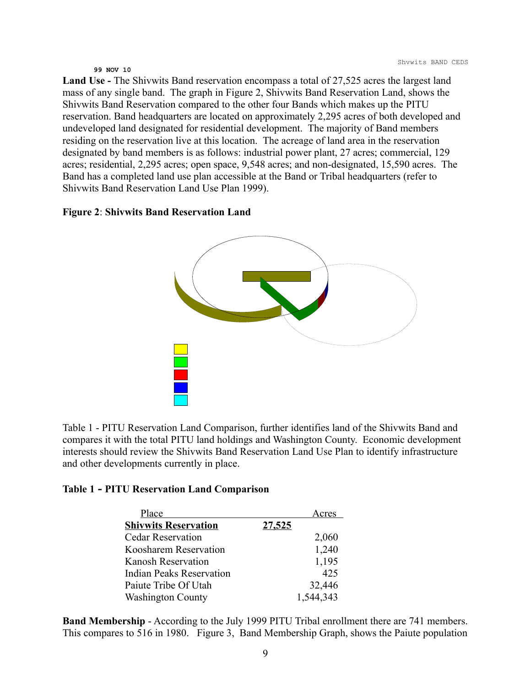**Land Use -** The Shivwits Band reservation encompass a total of 27,525 acres the largest land mass of any single band. The graph in Figure 2, Shivwits Band Reservation Land, shows the Shivwits Band Reservation compared to the other four Bands which makes up the PITU reservation. Band headquarters are located on approximately 2,295 acres of both developed and undeveloped land designated for residential development. The majority of Band members residing on the reservation live at this location. The acreage of land area in the reservation designated by band members is as follows: industrial power plant, 27 acres; commercial, 129 acres; residential, 2,295 acres; open space, 9,548 acres; and non-designated, 15,590 acres. The Band has a completed land use plan accessible at the Band or Tribal headquarters (refer to Shivwits Band Reservation Land Use Plan 1999).

#### **Figure 2**: **Shivwits Band Reservation Land**



Table 1 - PITU Reservation Land Comparison, further identifies land of the Shivwits Band and compares it with the total PITU land holdings and Washington County. Economic development interests should review the Shivwits Band Reservation Land Use Plan to identify infrastructure and other developments currently in place.

#### **Table 1 - PITU Reservation Land Comparison**

| Place                       |               | Acres     |
|-----------------------------|---------------|-----------|
| <b>Shivwits Reservation</b> | <u>27,525</u> |           |
| <b>Cedar Reservation</b>    |               | 2,060     |
| Koosharem Reservation       |               | 1,240     |
| <b>Kanosh Reservation</b>   |               | 1,195     |
| Indian Peaks Reservation    |               | 425       |
| Paiute Tribe Of Utah        |               | 32,446    |
| <b>Washington County</b>    |               | 1,544,343 |

**Band Membership** - According to the July 1999 PITU Tribal enrollment there are 741 members. This compares to 516 in 1980. Figure 3, Band Membership Graph, shows the Paiute population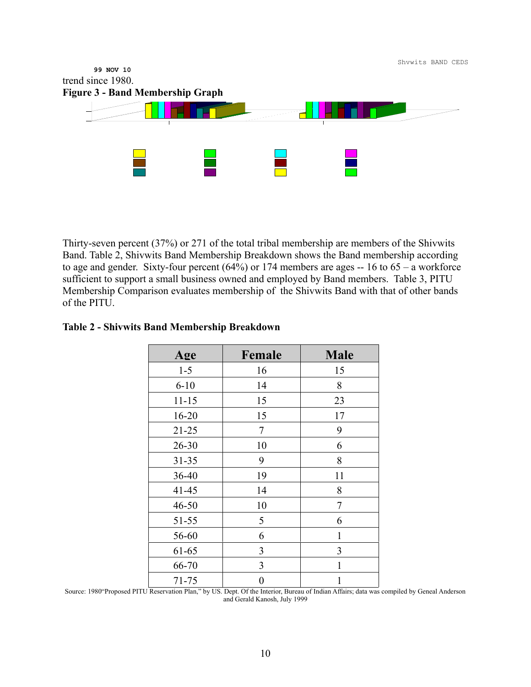

Thirty-seven percent (37%) or 271 of the total tribal membership are members of the Shivwits Band. Table 2, Shivwits Band Membership Breakdown shows the Band membership according to age and gender. Sixty-four percent  $(64%)$  or 174 members are ages  $-16$  to  $65 - a$  workforce sufficient to support a small business owned and employed by Band members. Table 3, PITU Membership Comparison evaluates membership of the Shivwits Band with that of other bands of the PITU.

#### **Table 2 - Shivwits Band Membership Breakdown**

| Age       | Female         | <b>Male</b> |
|-----------|----------------|-------------|
| $1 - 5$   | 16             | 15          |
| $6 - 10$  | 14             | 8           |
| $11 - 15$ | 15             | 23          |
| $16 - 20$ | 15             | 17          |
| $21 - 25$ | 7              | 9           |
| $26 - 30$ | 10             | 6           |
| $31 - 35$ | 9              | 8           |
| 36-40     | 19             | 11          |
| $41 - 45$ | 14             | 8           |
| $46 - 50$ | 10             | 7           |
| $51 - 55$ | 5              | 6           |
| 56-60     | 6              | 1           |
| 61-65     | 3              | 3           |
| 66-70     | 3              | 1           |
| 71-75     | $\overline{0}$ | 1           |

Source: 1980"Proposed PITU Reservation Plan," by US. Dept. Of the Interior, Bureau of Indian Affairs; data was compiled by Geneal Anderson and Gerald Kanosh, July 1999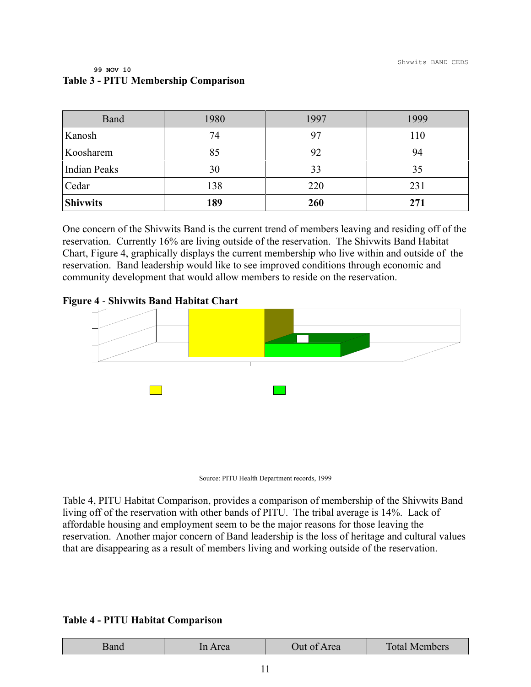| Band                | 1980 | 1997 | 1999 |
|---------------------|------|------|------|
| Kanosh              | 74   | 97   | 110  |
| Koosharem           | 85   | 92   | 94   |
| <b>Indian Peaks</b> | 30   | 33   | 35   |
| Cedar               | 138  | 220  | 231  |
| <b>Shivwits</b>     | 189  | 260  | 271  |

#### **99 NOV 10 Table 3 - PITU Membership Comparison**

One concern of the Shivwits Band is the current trend of members leaving and residing off of the reservation. Currently 16% are living outside of the reservation. The Shivwits Band Habitat Chart, Figure 4, graphically displays the current membership who live within and outside of the reservation. Band leadership would like to see improved conditions through economic and community development that would allow members to reside on the reservation.

#### **Figure 4** - **Shivwits Band Habitat Chart**





Table 4, PITU Habitat Comparison, provides a comparison of membership of the Shivwits Band living off of the reservation with other bands of PITU. The tribal average is 14%. Lack of affordable housing and employment seem to be the major reasons for those leaving the reservation. Another major concern of Band leadership is the loss of heritage and cultural values that are disappearing as a result of members living and working outside of the reservation.

#### **Table 4 - PITU Habitat Comparison**

| rea | Jut of Area | <b>Total Members</b> |
|-----|-------------|----------------------|
|     |             |                      |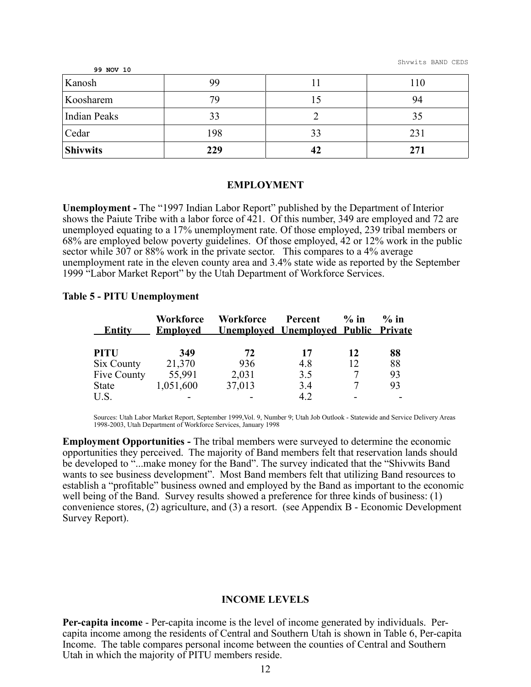Shvwits BAND CEDS

| 99 NOV 10           |     |    |     |
|---------------------|-----|----|-----|
| Kanosh              | 99  |    | 110 |
| Koosharem           | 79  |    | 94  |
| <b>Indian Peaks</b> | 33  |    | 35  |
| Cedar               | 198 | 33 | 231 |
| <b>Shivwits</b>     | 229 | 42 | 271 |

#### **EMPLOYMENT**

**Unemployment -** The "1997 Indian Labor Report" published by the Department of Interior shows the Paiute Tribe with a labor force of 421. Of this number, 349 are employed and 72 are unemployed equating to a 17% unemployment rate. Of those employed, 239 tribal members or 68% are employed below poverty guidelines. Of those employed, 42 or 12% work in the public sector while 307 or 88% work in the private sector. This compares to a 4% average unemployment rate in the eleven county area and 3.4% state wide as reported by the September 1999 "Labor Market Report" by the Utah Department of Workforce Services.

#### **Table 5 - PITU Unemployment**

| <b>Entity</b> | Workforce<br><b>Employed</b> | Workforce | Percent<br><b>Unemployed Unemployed Public Private</b> | $\%$ in | $\%$ in |
|---------------|------------------------------|-----------|--------------------------------------------------------|---------|---------|
| <b>PITU</b>   | 349                          | 72        | 17                                                     | 12      | 88      |
| Six County    | 21,370                       | 936       | 4.8                                                    | 12      | 88      |
| Five County   | 55,991                       | 2,031     | 3.5                                                    | 7       | 93      |
| <b>State</b>  | 1,051,600                    | 37,013    | 3.4                                                    |         | 93      |
| U.S.          |                              |           | 4.2                                                    |         |         |

Sources: Utah Labor Market Report, September 1999,Vol. 9, Number 9; Utah Job Outlook - Statewide and Service Delivery Areas 1998-2003, Utah Department of Workforce Services, January 1998

**Employment Opportunities -** The tribal members were surveyed to determine the economic opportunities they perceived. The majority of Band members felt that reservation lands should be developed to "...make money for the Band". The survey indicated that the "Shivwits Band wants to see business development". Most Band members felt that utilizing Band resources to establish a "profitable" business owned and employed by the Band as important to the economic well being of the Band. Survey results showed a preference for three kinds of business: (1) convenience stores, (2) agriculture, and (3) a resort. (see Appendix B - Economic Development Survey Report).

#### **INCOME LEVELS**

**Per-capita income** - Per-capita income is the level of income generated by individuals. Percapita income among the residents of Central and Southern Utah is shown in Table 6, Per-capita Income. The table compares personal income between the counties of Central and Southern Utah in which the majority of PITU members reside.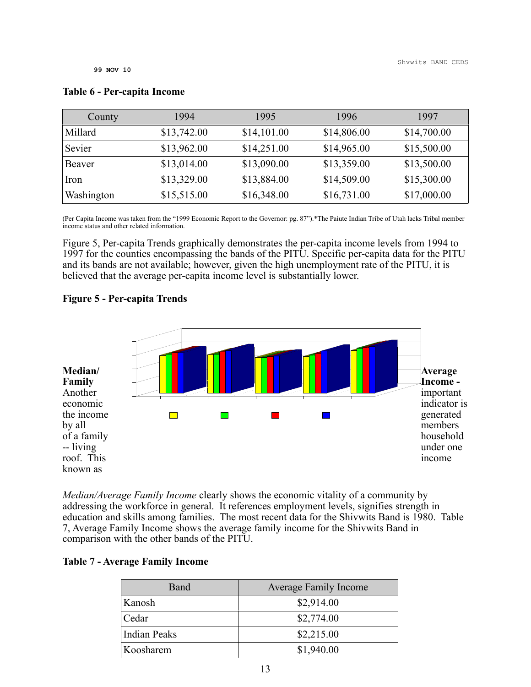| County     | 1994        | 1995        | 1996        | 1997        |
|------------|-------------|-------------|-------------|-------------|
| Millard    | \$13,742.00 | \$14,101.00 | \$14,806.00 | \$14,700.00 |
| Sevier     | \$13,962.00 | \$14,251.00 | \$14,965.00 | \$15,500.00 |
| Beaver     | \$13,014.00 | \$13,090.00 | \$13,359.00 | \$13,500.00 |
| Iron       | \$13,329.00 | \$13,884.00 | \$14,509.00 | \$15,300.00 |
| Washington | \$15,515.00 | \$16,348.00 | \$16,731.00 | \$17,000.00 |

#### **Table 6 - Per-capita Income**

(Per Capita Income was taken from the "1999 Economic Report to the Governor: pg. 87").\*The Paiute Indian Tribe of Utah lacks Tribal member income status and other related information.

Figure 5, Per-capita Trends graphically demonstrates the per-capita income levels from 1994 to 1997 for the counties encompassing the bands of the PITU. Specific per-capita data for the PITU and its bands are not available; however, given the high unemployment rate of the PITU, it is believed that the average per-capita income level is substantially lower.

#### **Figure 5 - Per-capita Trends**



*Median/Average Family Income* clearly shows the economic vitality of a community by addressing the workforce in general. It references employment levels, signifies strength in education and skills among families. The most recent data for the Shivwits Band is 1980. Table 7, Average Family Income shows the average family income for the Shivwits Band in comparison with the other bands of the PITU.

#### **Table 7 - Average Family Income**

| <b>Average Family Income</b> |
|------------------------------|
| \$2,914.00                   |
| \$2,774.00                   |
| \$2,215.00                   |
| \$1,940.00                   |
|                              |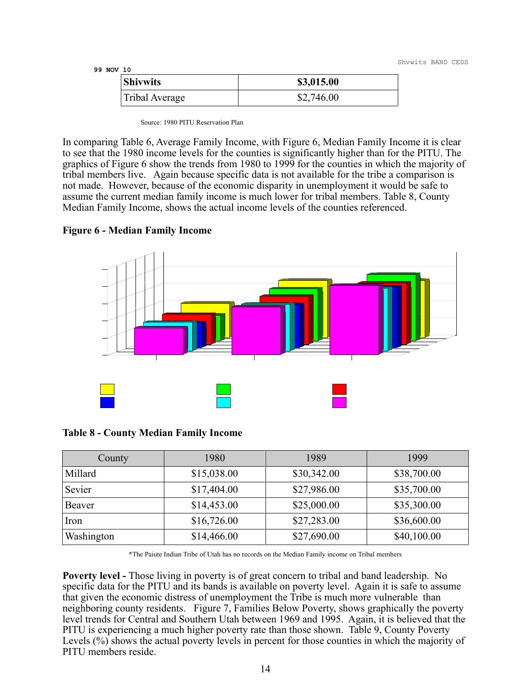Shvwits BAND CEDS

**99 NOV 10**

| <b>Shivwits</b> | \$3,015.00 |
|-----------------|------------|
| Tribal Average  | \$2,746.00 |

Source: 1980 PITU Reservation Plan

In comparing Table 6, Average Family Income, with Figure 6, Median Family Income it is clear to see that the 1980 income levels for the counties is significantly higher than for the PITU. The graphics of Figure 6 show the trends from 1980 to 1999 for the counties in which the majority of tribal members live. Again because specific data is not available for the tribe a comparison is not made. However, because of the economic disparity in unemployment it would be safe to assume the current median family income is much lower for tribal members. Table 8, County Median Family Income, shows the actual income levels of the counties referenced.



#### **Figure 6 - Median Family Income**

|  |  |  |  | <b>Table 8 - County Median Family Income</b> |  |  |
|--|--|--|--|----------------------------------------------|--|--|
|--|--|--|--|----------------------------------------------|--|--|

| County     | 1980        | 1989        | 1999        |
|------------|-------------|-------------|-------------|
| Millard    | \$15,038.00 | \$30,342.00 | \$38,700.00 |
| Sevier     | \$17,404.00 | \$27,986.00 | \$35,700.00 |
| Beaver     | \$14,453.00 | \$25,000.00 | \$35,300.00 |
| Iron       | \$16,726.00 | \$27,283.00 | \$36,600.00 |
| Washington | \$14,466.00 | \$27,690.00 | \$40,100.00 |

\*The Paiute Indian Tribe of Utah has no records on the Median Family income on Tribal members

**Poverty level -** Those living in poverty is of great concern to tribal and band leadership. No specific data for the PITU and its bands is available on poverty level. Again it is safe to assume that given the economic distress of unemployment the Tribe is much more vulnerable than neighboring county residents. Figure 7, Families Below Poverty, shows graphically the poverty level trends for Central and Southern Utah between 1969 and 1995. Again, it is believed that the PITU is experiencing a much higher poverty rate than those shown. Table 9, County Poverty Levels (%) shows the actual poverty levels in percent for those counties in which the majority of PITU members reside.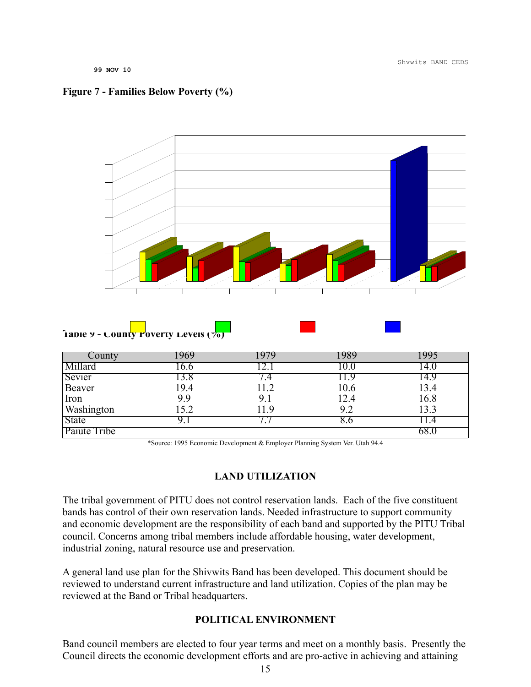#### **Figure 7 - Families Below Poverty (%)**



| County       |         | 979 | 1989 | 995  |
|--------------|---------|-----|------|------|
| Millard      | 0.0     |     |      | 14.0 |
| Sevier       | .8      |     |      | 14.9 |
| Beaver       | ч<br>.4 |     |      |      |
| Iron         | 9 9     |     |      | 16.8 |
| Washington   | 5.2     |     | Y.Z  | 13.3 |
| State        |         |     | 8.0  |      |
| Paiute Tribe |         |     |      | 68.  |

\*Source: 1995 Economic Development & Employer Planning System Ver. Utah 94.4

#### **LAND UTILIZATION**

The tribal government of PITU does not control reservation lands. Each of the five constituent bands has control of their own reservation lands. Needed infrastructure to support community and economic development are the responsibility of each band and supported by the PITU Tribal council. Concerns among tribal members include affordable housing, water development, industrial zoning, natural resource use and preservation.

A general land use plan for the Shivwits Band has been developed. This document should be reviewed to understand current infrastructure and land utilization. Copies of the plan may be reviewed at the Band or Tribal headquarters.

#### **POLITICAL ENVIRONMENT**

Band council members are elected to four year terms and meet on a monthly basis. Presently the Council directs the economic development efforts and are pro-active in achieving and attaining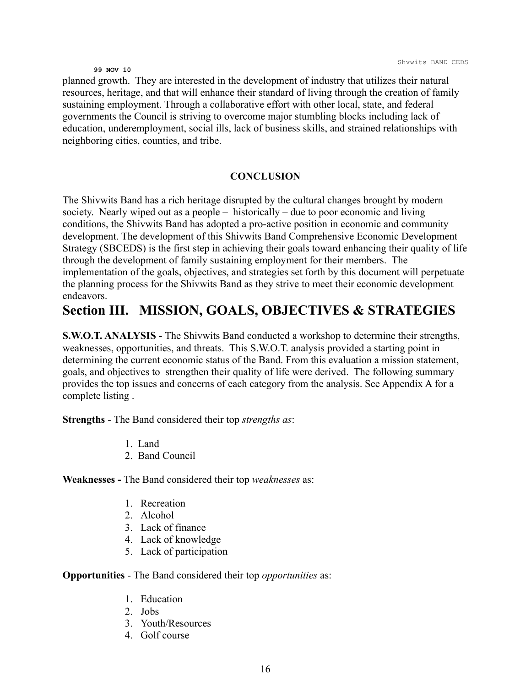planned growth. They are interested in the development of industry that utilizes their natural resources, heritage, and that will enhance their standard of living through the creation of family sustaining employment. Through a collaborative effort with other local, state, and federal governments the Council is striving to overcome major stumbling blocks including lack of education, underemployment, social ills, lack of business skills, and strained relationships with neighboring cities, counties, and tribe.

#### **CONCLUSION**

The Shivwits Band has a rich heritage disrupted by the cultural changes brought by modern society. Nearly wiped out as a people – historically – due to poor economic and living conditions, the Shivwits Band has adopted a pro-active position in economic and community development. The development of this Shivwits Band Comprehensive Economic Development Strategy (SBCEDS) is the first step in achieving their goals toward enhancing their quality of life through the development of family sustaining employment for their members. The implementation of the goals, objectives, and strategies set forth by this document will perpetuate the planning process for the Shivwits Band as they strive to meet their economic development endeavors.

## **Section III. MISSION, GOALS, OBJECTIVES & STRATEGIES**

**S.W.O.T. ANALYSIS - The Shivwits Band conducted a workshop to determine their strengths,** weaknesses, opportunities, and threats. This S.W.O.T. analysis provided a starting point in determining the current economic status of the Band. From this evaluation a mission statement, goals, and objectives to strengthen their quality of life were derived. The following summary provides the top issues and concerns of each category from the analysis. See Appendix A for a complete listing .

**Strengths** - The Band considered their top *strengths as*:

- 1. Land
- 2. Band Council

**Weaknesses -** The Band considered their top *weaknesses* as:

- 1. Recreation
- 2. Alcohol
- 3. Lack of finance
- 4. Lack of knowledge
- 5. Lack of participation

**Opportunities** - The Band considered their top *opportunities* as:

- 1. Education
- 2. Jobs
- 3. Youth/Resources
- 4. Golf course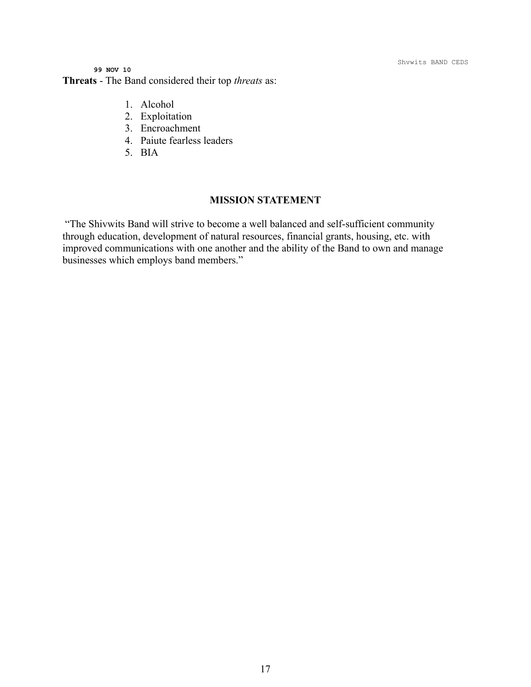Shvwits BAND CEDS

**99 NOV 10 Threats** - The Band considered their top *threats* as:

- 1. Alcohol
- 2. Exploitation
- 3. Encroachment
- 4. Paiute fearless leaders
- 5. BIA

#### **MISSION STATEMENT**

"The Shivwits Band will strive to become a well balanced and self-sufficient community through education, development of natural resources, financial grants, housing, etc. with improved communications with one another and the ability of the Band to own and manage businesses which employs band members."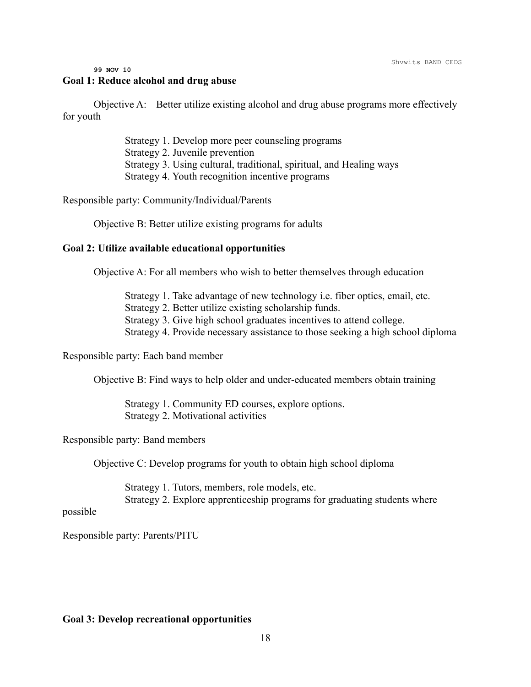#### **99 NOV 10 Goal 1: Reduce alcohol and drug abuse**

Objective A: Better utilize existing alcohol and drug abuse programs more effectively for youth

> Strategy 1. Develop more peer counseling programs Strategy 2. Juvenile prevention Strategy 3. Using cultural, traditional, spiritual, and Healing ways Strategy 4. Youth recognition incentive programs

Responsible party: Community/Individual/Parents

Objective B: Better utilize existing programs for adults

#### **Goal 2: Utilize available educational opportunities**

Objective A: For all members who wish to better themselves through education

Strategy 1. Take advantage of new technology i.e. fiber optics, email, etc.

Strategy 2. Better utilize existing scholarship funds.

Strategy 3. Give high school graduates incentives to attend college.

Strategy 4. Provide necessary assistance to those seeking a high school diploma

Responsible party: Each band member

Objective B: Find ways to help older and under-educated members obtain training

Strategy 1. Community ED courses, explore options. Strategy 2. Motivational activities

Responsible party: Band members

Objective C: Develop programs for youth to obtain high school diploma

Strategy 1. Tutors, members, role models, etc. Strategy 2. Explore apprenticeship programs for graduating students where

possible

Responsible party: Parents/PITU

#### **Goal 3: Develop recreational opportunities**